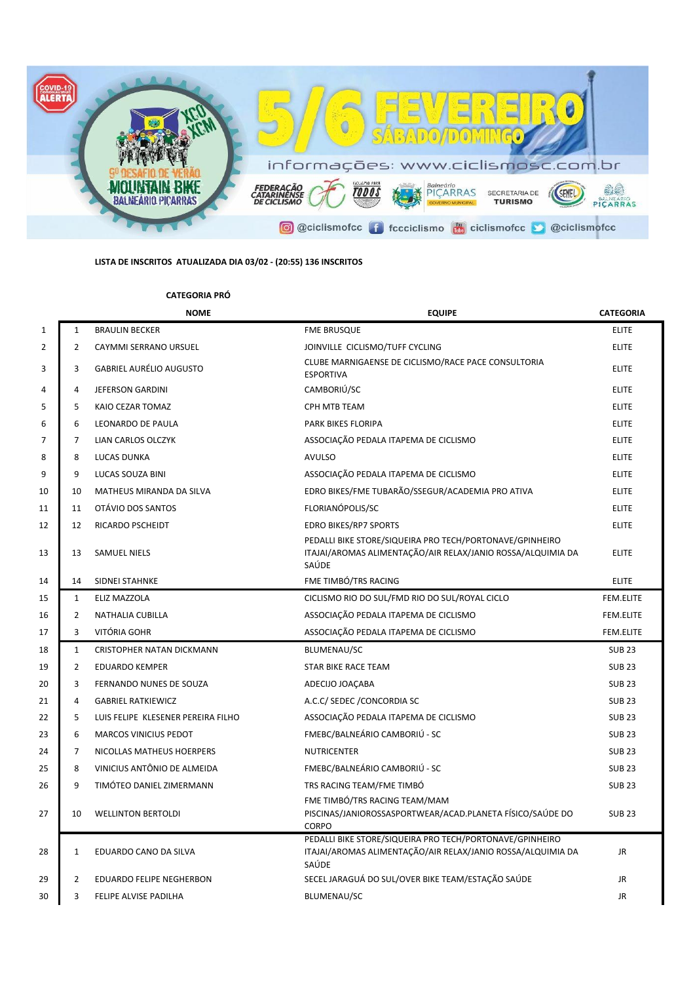

## **LISTA DE INSCRITOS ATUALIZADA DIA 03/02 - (20:55) 136 INSCRITOS**

## **CATEGORIA PRÓ**

|                |                | <b>NOME</b>                        | <b>EQUIPE</b>                                                                                                                    | <b>CATEGORIA</b> |
|----------------|----------------|------------------------------------|----------------------------------------------------------------------------------------------------------------------------------|------------------|
| $\mathbf{1}$   | $\mathbf{1}$   | <b>BRAULIN BECKER</b>              | <b>FME BRUSQUE</b>                                                                                                               | <b>ELITE</b>     |
| $\overline{2}$ | $\overline{2}$ | <b>CAYMMI SERRANO URSUEL</b>       | JOINVILLE CICLISMO/TUFF CYCLING                                                                                                  | <b>ELITE</b>     |
| 3              | 3              | <b>GABRIEL AURÉLIO AUGUSTO</b>     | CLUBE MARNIGAENSE DE CICLISMO/RACE PACE CONSULTORIA<br><b>ESPORTIVA</b>                                                          | <b>ELITE</b>     |
| $\overline{4}$ | 4              | JEFERSON GARDINI                   | CAMBORIÚ/SC                                                                                                                      | <b>ELITE</b>     |
| 5              | 5              | KAIO CEZAR TOMAZ                   | <b>CPH MTB TEAM</b>                                                                                                              | <b>ELITE</b>     |
| 6              | 6              | LEONARDO DE PAULA                  | PARK BIKES FLORIPA                                                                                                               | <b>ELITE</b>     |
| $\overline{7}$ | $\overline{7}$ | <b>LIAN CARLOS OLCZYK</b>          | ASSOCIAÇÃO PEDALA ITAPEMA DE CICLISMO                                                                                            | <b>ELITE</b>     |
| 8              | 8              | LUCAS DUNKA                        | <b>AVULSO</b>                                                                                                                    | <b>ELITE</b>     |
| 9              | 9              | LUCAS SOUZA BINI                   | ASSOCIAÇÃO PEDALA ITAPEMA DE CICLISMO                                                                                            | <b>ELITE</b>     |
| 10             | 10             | MATHEUS MIRANDA DA SILVA           | EDRO BIKES/FME TUBARÃO/SSEGUR/ACADEMIA PRO ATIVA                                                                                 | <b>ELITE</b>     |
| 11             | 11             | OTÁVIO DOS SANTOS                  | FLORIANÓPOLIS/SC                                                                                                                 | <b>ELITE</b>     |
| 12             | 12             | RICARDO PSCHEIDT                   | <b>EDRO BIKES/RP7 SPORTS</b>                                                                                                     | <b>ELITE</b>     |
| 13             | 13             | <b>SAMUEL NIELS</b>                | PEDALLI BIKE STORE/SIQUEIRA PRO TECH/PORTONAVE/GPINHEIRO<br>ITAJAI/AROMAS ALIMENTAÇÃO/AIR RELAX/JANIO ROSSA/ALQUIMIA DA<br>SAÚDE | <b>ELITE</b>     |
| 14             | 14             | SIDNEI STAHNKE                     | FME TIMBÓ/TRS RACING                                                                                                             | <b>ELITE</b>     |
| 15             | $\mathbf{1}$   | ELIZ MAZZOLA                       | CICLISMO RIO DO SUL/FMD RIO DO SUL/ROYAL CICLO                                                                                   | FEM.ELITE        |
| 16             | $\overline{2}$ | <b>NATHALIA CUBILLA</b>            | ASSOCIAÇÃO PEDALA ITAPEMA DE CICLISMO                                                                                            | FEM.ELITE        |
| 17             | 3              | VITÓRIA GOHR                       | ASSOCIAÇÃO PEDALA ITAPEMA DE CICLISMO                                                                                            | <b>FEM.ELITE</b> |
| 18             | $\mathbf{1}$   | <b>CRISTOPHER NATAN DICKMANN</b>   | <b>BLUMENAU/SC</b>                                                                                                               | <b>SUB 23</b>    |
| 19             | $\overline{2}$ | <b>EDUARDO KEMPER</b>              | STAR BIKE RACE TEAM                                                                                                              | <b>SUB 23</b>    |
| 20             | 3              | FERNANDO NUNES DE SOUZA            | ADECIJO JOAÇABA                                                                                                                  | <b>SUB 23</b>    |
| 21             | 4              | <b>GABRIEL RATKIEWICZ</b>          | A.C.C/ SEDEC / CONCORDIA SC                                                                                                      | <b>SUB 23</b>    |
| 22             | 5              | LUIS FELIPE KLESENER PEREIRA FILHO | ASSOCIAÇÃO PEDALA ITAPEMA DE CICLISMO                                                                                            | <b>SUB 23</b>    |
| 23             | 6              | <b>MARCOS VINICIUS PEDOT</b>       | FMEBC/BALNEÁRIO CAMBORIÚ - SC                                                                                                    | <b>SUB 23</b>    |
| 24             | 7              | NICOLLAS MATHEUS HOERPERS          | <b>NUTRICENTER</b>                                                                                                               | <b>SUB 23</b>    |
| 25             | 8              | VINICIUS ANTÔNIO DE ALMEIDA        | FMEBC/BALNEÁRIO CAMBORIÚ - SC                                                                                                    | <b>SUB 23</b>    |
| 26             | 9              | TIMÓTEO DANIEL ZIMERMANN           | TRS RACING TEAM/FME TIMBÓ                                                                                                        | <b>SUB 23</b>    |
| 27             | 10             | <b>WELLINTON BERTOLDI</b>          | FME TIMBÓ/TRS RACING TEAM/MAM<br>PISCINAS/JANIOROSSASPORTWEAR/ACAD.PLANETA FÍSICO/SAÚDE DO<br>CORPO                              | <b>SUB 23</b>    |
| 28             | $\mathbf{1}$   | EDUARDO CANO DA SILVA              | PEDALLI BIKE STORE/SIQUEIRA PRO TECH/PORTONAVE/GPINHEIRO<br>ITAJAI/AROMAS ALIMENTAÇÃO/AIR RELAX/JANIO ROSSA/ALQUIMIA DA<br>SAÚDE | JR               |
| 29             | 2              | EDUARDO FELIPE NEGHERBON           | SECEL JARAGUÁ DO SUL/OVER BIKE TEAM/ESTAÇÃO SAÚDE                                                                                | JR               |
| 30             | 3              | FELIPE ALVISE PADILHA              | BLUMENAU/SC                                                                                                                      | JR               |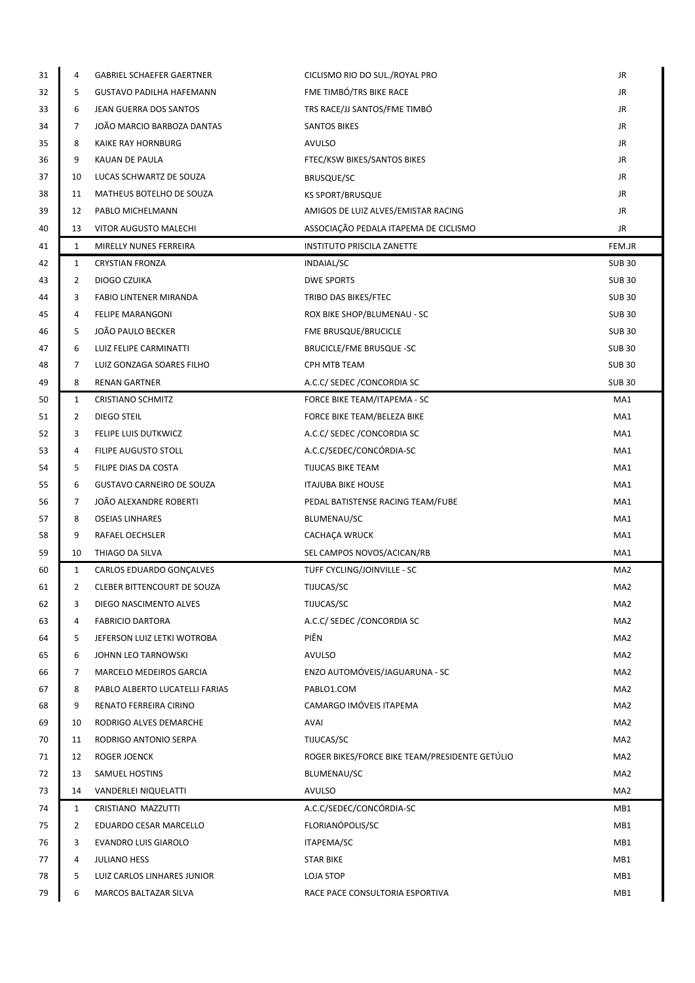| 31       | 4            | <b>GABRIEL SCHAEFER GAERTNER</b>             | CICLISMO RIO DO SUL./ROYAL PRO                          | JR              |
|----------|--------------|----------------------------------------------|---------------------------------------------------------|-----------------|
| 32       | 5            | <b>GUSTAVO PADILHA HAFEMANN</b>              | FME TIMBÓ/TRS BIKE RACE                                 | JR              |
| 33       | 6            | JEAN GUERRA DOS SANTOS                       | TRS RACE/JJ SANTOS/FME TIMBÓ                            | JR              |
| 34       | 7            | JOÃO MARCIO BARBOZA DANTAS                   | <b>SANTOS BIKES</b>                                     | JR              |
| 35       | 8            | KAIKE RAY HORNBURG                           | <b>AVULSO</b>                                           | JR              |
| 36       | 9            | KAUAN DE PAULA                               | FTEC/KSW BIKES/SANTOS BIKES                             | JR              |
| 37       | 10           | LUCAS SCHWARTZ DE SOUZA                      | <b>BRUSQUE/SC</b>                                       | JR              |
| 38       | 11           | MATHEUS BOTELHO DE SOUZA                     | <b>KS SPORT/BRUSQUE</b>                                 | JR              |
| 39       | 12           | PABLO MICHELMANN                             | AMIGOS DE LUIZ ALVES/EMISTAR RACING                     | JR              |
| 40       | 13           | VITOR AUGUSTO MALECHI                        | ASSOCIAÇÃO PEDALA ITAPEMA DE CICLISMO                   | JR              |
| 41       | 1            | MIRELLY NUNES FERREIRA                       | <b>INSTITUTO PRISCILA ZANETTE</b>                       | FEM.JR          |
| 42       | 1            | <b>CRYSTIAN FRONZA</b>                       | <b>INDAIAL/SC</b>                                       | <b>SUB30</b>    |
| 43       | 2            | DIOGO CZUIKA                                 | DWE SPORTS                                              | <b>SUB30</b>    |
| 44       | 3            | <b>FABIO LINTENER MIRANDA</b>                | TRIBO DAS BIKES/FTEC                                    | <b>SUB30</b>    |
| 45       | 4            | <b>FELIPE MARANGONI</b>                      | ROX BIKE SHOP/BLUMENAU - SC                             | <b>SUB30</b>    |
| 46       | 5            | JOÃO PAULO BECKER                            | FME BRUSQUE/BRUCICLE                                    | <b>SUB30</b>    |
| 47       | 6            | LUIZ FELIPE CARMINATTI                       | <b>BRUCICLE/FME BRUSQUE -SC</b>                         | <b>SUB 30</b>   |
| 48       | 7            | LUIZ GONZAGA SOARES FILHO                    | CPH MTB TEAM                                            | <b>SUB 30</b>   |
| 49       | 8            | <b>RENAN GARTNER</b>                         | A.C.C/ SEDEC / CONCORDIA SC                             | <b>SUB30</b>    |
| 50       | $\mathbf{1}$ | <b>CRISTIANO SCHMITZ</b>                     | FORCE BIKE TEAM/ITAPEMA - SC                            | MA1             |
| 51       | 2            | DIEGO STEIL                                  | FORCE BIKE TEAM/BELEZA BIKE                             | MA1             |
| 52       | 3<br>4       | FELIPE LUIS DUTKWICZ<br>FILIPE AUGUSTO STOLL | A.C.C/ SEDEC / CONCORDIA SC<br>A.C.C/SEDEC/CONCÓRDIA-SC | MA1<br>MA1      |
| 53<br>54 | 5            | FILIPE DIAS DA COSTA                         | TIJUCAS BIKE TEAM                                       | MA1             |
| 55       | 6            | <b>GUSTAVO CARNEIRO DE SOUZA</b>             | <b>ITAJUBA BIKE HOUSE</b>                               | MA1             |
| 56       | 7            | JOÃO ALEXANDRE ROBERTI                       | PEDAL BATISTENSE RACING TEAM/FUBE                       | MA1             |
| 57       | 8            | <b>OSEIAS LINHARES</b>                       | BLUMENAU/SC                                             | MA1             |
| 58       | 9            | RAFAEL OECHSLER                              | <b>CACHACA WRUCK</b>                                    | MA1             |
| 59       | 10           | THIAGO DA SILVA                              | SEL CAMPOS NOVOS/ACICAN/RB                              | MA1             |
| 60       | $\mathbf{1}$ | CARLOS EDUARDO GONÇALVES                     | TUFF CYCLING/JOINVILLE - SC                             | MA2             |
| 61       | 2            | CLEBER BITTENCOURT DE SOUZA                  | TIJUCAS/SC                                              | MA <sub>2</sub> |
| 62       | 3            | DIEGO NASCIMENTO ALVES                       | TIJUCAS/SC                                              | MA <sub>2</sub> |
| 63       | 4            | <b>FABRICIO DARTORA</b>                      | A.C.C/ SEDEC / CONCORDIA SC                             | MA <sub>2</sub> |
| 64       | 5            | JEFERSON LUIZ LETKI WOTROBA                  | PIÊN                                                    | MA2             |
| 65       | 6            | JOHNN LEO TARNOWSKI                          | AVULSO                                                  | MA2             |
| 66       | 7            | MARCELO MEDEIROS GARCIA                      | ENZO AUTOMÓVEIS/JAGUARUNA - SC                          | MA <sub>2</sub> |
| 67       | 8            | PABLO ALBERTO LUCATELLI FARIAS               | PABLO1.COM                                              | MA <sub>2</sub> |
| 68       | 9            | RENATO FERREIRA CIRINO                       | CAMARGO IMÓVEIS ITAPEMA                                 | MA <sub>2</sub> |
| 69       | 10           | RODRIGO ALVES DEMARCHE                       | AVAI                                                    | MA2             |
| 70       | 11           | RODRIGO ANTONIO SERPA                        | TIJUCAS/SC                                              | MA2             |
| 71       | 12           | ROGER JOENCK                                 | ROGER BIKES/FORCE BIKE TEAM/PRESIDENTE GETULIO          | MA <sub>2</sub> |
| 72       | 13           | SAMUEL HOSTINS                               | BLUMENAU/SC                                             | MA2             |
| 73       | 14           | VANDERLEI NIQUELATTI                         | AVULSO                                                  | MA <sub>2</sub> |
| 74       | $\mathbf{1}$ | CRISTIANO MAZZUTTI                           | A.C.C/SEDEC/CONCÓRDIA-SC                                | MB1             |
| 75       | 2            | EDUARDO CESAR MARCELLO                       | FLORIANÓPOLIS/SC                                        | MB1             |
| 76       | 3            | <b>EVANDRO LUIS GIAROLO</b>                  | ITAPEMA/SC                                              | MB1             |
| 77       | 4            | <b>JULIANO HESS</b>                          | <b>STAR BIKE</b>                                        | MB1             |
| 78       | 5            | LUIZ CARLOS LINHARES JUNIOR                  | LOJA STOP                                               | MB1             |
| 79       | 6            | MARCOS BALTAZAR SILVA                        | RACE PACE CONSULTORIA ESPORTIVA                         | MB1             |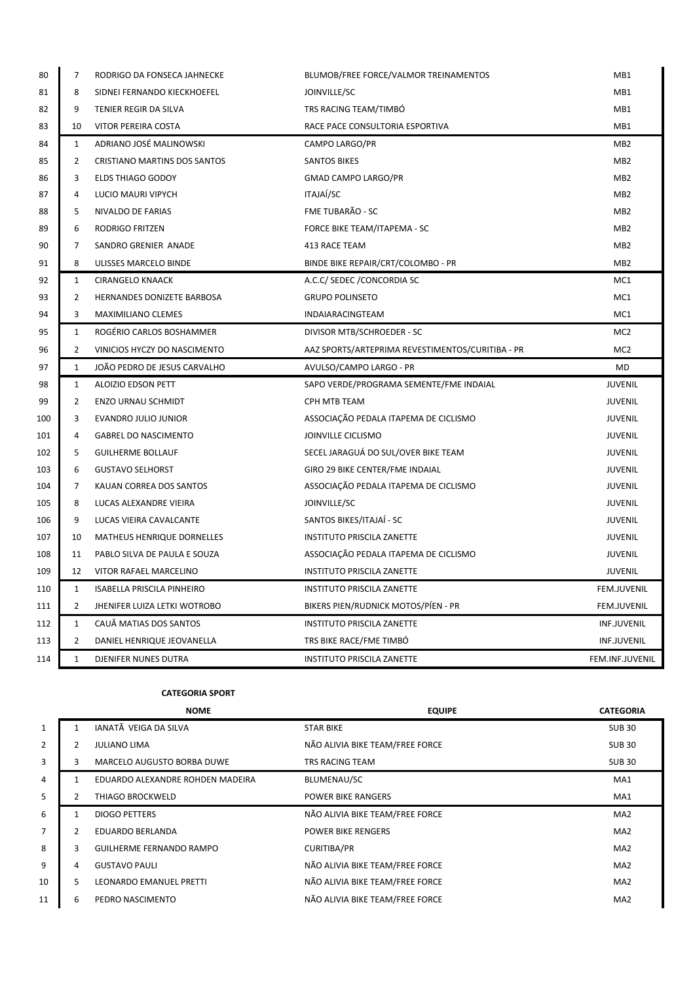| 80  | $\overline{7}$ | RODRIGO DA FONSECA JAHNECKE         | BLUMOB/FREE FORCE/VALMOR TREINAMENTOS            | MB <sub>1</sub>    |
|-----|----------------|-------------------------------------|--------------------------------------------------|--------------------|
| 81  | 8              | SIDNEI FERNANDO KIECKHOEFEL         | JOINVILLE/SC                                     | MB1                |
| 82  | 9              | TENIER REGIR DA SILVA               | TRS RACING TEAM/TIMBÓ                            | MB1                |
| 83  | 10             | VITOR PEREIRA COSTA                 | RACE PACE CONSULTORIA ESPORTIVA                  | MB1                |
| 84  | 1              | ADRIANO JOSÉ MALINOWSKI             | CAMPO LARGO/PR                                   | MB <sub>2</sub>    |
| 85  | $\overline{2}$ | <b>CRISTIANO MARTINS DOS SANTOS</b> | <b>SANTOS BIKES</b>                              | MB <sub>2</sub>    |
| 86  | 3              | ELDS THIAGO GODOY                   | <b>GMAD CAMPO LARGO/PR</b>                       | MB <sub>2</sub>    |
| 87  | 4              | LUCIO MAURI VIPYCH                  | <b>ITAJAÍ/SC</b>                                 | MB <sub>2</sub>    |
| 88  | 5              | NIVALDO DE FARIAS                   | FME TUBARÃO - SC                                 | MB <sub>2</sub>    |
| 89  | 6              | <b>RODRIGO FRITZEN</b>              | FORCE BIKE TEAM/ITAPEMA - SC                     | MB <sub>2</sub>    |
| 90  | 7              | SANDRO GRENIER ANADE                | 413 RACE TEAM                                    | MB <sub>2</sub>    |
| 91  | 8              | ULISSES MARCELO BINDE               | BINDE BIKE REPAIR/CRT/COLOMBO - PR               | MB <sub>2</sub>    |
| 92  | $\mathbf{1}$   | <b>CIRANGELO KNAACK</b>             | A.C.C/ SEDEC / CONCORDIA SC                      | MC1                |
| 93  | $\overline{2}$ | HERNANDES DONIZETE BARBOSA          | <b>GRUPO POLINSETO</b>                           | MC1                |
| 94  | 3              | MAXIMILIANO CLEMES                  | INDAIARACINGTEAM                                 | MC1                |
| 95  | 1              | ROGÉRIO CARLOS BOSHAMMER            | DIVISOR MTB/SCHROEDER - SC                       | MC <sub>2</sub>    |
| 96  | 2              | VINICIOS HYCZY DO NASCIMENTO        | AAZ SPORTS/ARTEPRIMA REVESTIMENTOS/CURITIBA - PR | MC <sub>2</sub>    |
| 97  | $\mathbf{1}$   | JOÃO PEDRO DE JESUS CARVALHO        | AVULSO/CAMPO LARGO - PR                          | <b>MD</b>          |
| 98  | $\mathbf{1}$   | ALOIZIO EDSON PETT                  | SAPO VERDE/PROGRAMA SEMENTE/FME INDAIAL          | <b>JUVENIL</b>     |
| 99  | 2              | <b>ENZO URNAU SCHMIDT</b>           | CPH MTB TEAM                                     | JUVENIL            |
| 100 | 3              | EVANDRO JULIO JUNIOR                | ASSOCIAÇÃO PEDALA ITAPEMA DE CICLISMO            | <b>JUVENIL</b>     |
| 101 | $\overline{a}$ | <b>GABREL DO NASCIMENTO</b>         | JOINVILLE CICLISMO                               | <b>JUVENIL</b>     |
| 102 | 5              | <b>GUILHERME BOLLAUF</b>            | SECEL JARAGUÁ DO SUL/OVER BIKE TEAM              | JUVENIL            |
| 103 | 6              | <b>GUSTAVO SELHORST</b>             | GIRO 29 BIKE CENTER/FME INDAIAL                  | <b>JUVENIL</b>     |
| 104 | 7              | KAUAN CORREA DOS SANTOS             | ASSOCIAÇÃO PEDALA ITAPEMA DE CICLISMO            | <b>JUVENIL</b>     |
| 105 | 8              | LUCAS ALEXANDRE VIEIRA              | JOINVILLE/SC                                     | <b>JUVENIL</b>     |
| 106 | 9              | LUCAS VIEIRA CAVALCANTE             | SANTOS BIKES/ITAJAÍ - SC                         | <b>JUVENIL</b>     |
| 107 | 10             | MATHEUS HENRIQUE DORNELLES          | <b>INSTITUTO PRISCILA ZANETTE</b>                | <b>JUVENIL</b>     |
| 108 | 11             | PABLO SILVA DE PAULA E SOUZA        | ASSOCIAÇÃO PEDALA ITAPEMA DE CICLISMO            | <b>JUVENIL</b>     |
| 109 | 12             | VITOR RAFAEL MARCELINO              | <b>INSTITUTO PRISCILA ZANETTE</b>                | <b>JUVENIL</b>     |
| 110 | $\mathbf{1}$   | ISABELLA PRISCILA PINHEIRO          | <b>INSTITUTO PRISCILA ZANETTE</b>                | FEM.JUVENIL        |
| 111 | $\overline{2}$ | JHENIFER LUIZA LETKI WOTROBO        | BIKERS PIEN/RUDNICK MOTOS/PIEN - PR              | <b>FEM.JUVENIL</b> |
| 112 | $\mathbf{1}$   | CAUÂ MATIAS DOS SANTOS              | <b>INSTITUTO PRISCILA ZANETTE</b>                | <b>INF.JUVENIL</b> |
| 113 | 2              | DANIEL HENRIQUE JEOVANELLA          | TRS BIKE RACE/FME TIMBÓ                          | <b>INF.JUVENIL</b> |
|     | $\mathbf{1}$   | DJENIFER NUNES DUTRA                | <b>INSTITUTO PRISCILA ZANETTE</b>                | FEM.INF.JUVENIL    |

## **CATEGORIA SPORT**

|                |   | <b>NOME</b>                      | <b>EQUIPE</b>                   | <b>CATEGORIA</b> |
|----------------|---|----------------------------------|---------------------------------|------------------|
| $\mathbf{1}$   |   | <b>IANATÃ VEIGA DA SILVA</b>     | <b>STAR BIKE</b>                | <b>SUB30</b>     |
| $\overline{2}$ | 2 | <b>JULIANO LIMA</b>              | NÃO ALIVIA BIKE TEAM/FREE FORCE | <b>SUB30</b>     |
| 3              | 3 | MARCELO AUGUSTO BORBA DUWE       | TRS RACING TEAM                 | <b>SUB30</b>     |
| $\overline{4}$ |   | EDUARDO ALEXANDRE ROHDEN MADEIRA | BLUMENAU/SC                     | MA1              |
| 5              | 2 | <b>THIAGO BROCKWELD</b>          | <b>POWER BIKE RANGERS</b>       | MA1              |
| 6              |   | <b>DIOGO PETTERS</b>             | NÃO ALIVIA BIKE TEAM/FREE FORCE | MA <sub>2</sub>  |
| $\overline{7}$ | 2 | <b>EDUARDO BERLANDA</b>          | <b>POWER BIKE RENGERS</b>       | MA <sub>2</sub>  |
| 8              | 3 | <b>GUILHERME FERNANDO RAMPO</b>  | <b>CURITIBA/PR</b>              | MA <sub>2</sub>  |
| 9              | 4 | <b>GUSTAVO PAULI</b>             | NÃO ALIVIA BIKE TEAM/FREE FORCE | MA <sub>2</sub>  |
| 10             | 5 | LEONARDO EMANUEL PRETTI          | NÃO ALIVIA BIKE TEAM/FREE FORCE | MA <sub>2</sub>  |
| 11             | 6 | PEDRO NASCIMENTO                 | NÃO ALIVIA BIKE TEAM/FREE FORCE | MA <sub>2</sub>  |